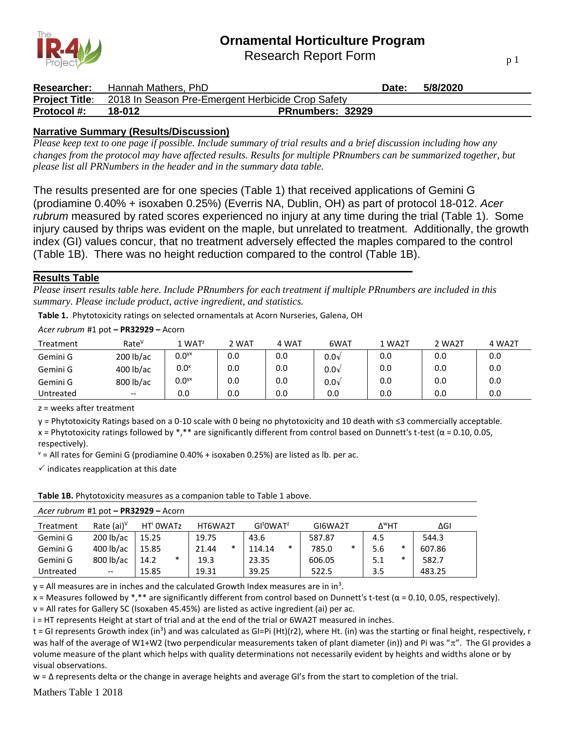

Research Report Form

| Researcher:        | Hannah Mathers. PhD                                                     |                         | Date: | 5/8/2020 |
|--------------------|-------------------------------------------------------------------------|-------------------------|-------|----------|
|                    | <b>Project Title:</b> 2018 In Season Pre-Emergent Herbicide Crop Safety |                         |       |          |
| <b>Protocol</b> #: | 18-012                                                                  | <b>PRnumbers: 32929</b> |       |          |

## **Narrative Summary (Results/Discussion)**

*Please keep text to one page if possible. Include summary of trial results and a brief discussion including how any changes from the protocol may have affected results. Results for multiple PRnumbers can be summarized together, but please list all PRNumbers in the header and in the summary data table.*

The results presented are for one species (Table 1) that received applications of Gemini G (prodiamine 0.40% + isoxaben 0.25%) (Everris NA, Dublin, OH) as part of protocol 18-012. *Acer rubrum* measured by rated scores experienced no injury at any time during the trial (Table 1). Some injury caused by thrips was evident on the maple, but unrelated to treatment. Additionally, the growth index (GI) values concur, that no treatment adversely effected the maples compared to the control (Table 1B). There was no height reduction compared to the control (Table 1B).

## **Results Table**

*Please insert results table here. Include PRnumbers for each treatment if multiple PRnumbers are included in this summary. Please include product, active ingredient, and statistics.*

**Table 1.** Phytotoxicity ratings on selected ornamentals at Acorn Nurseries, Galena, OH

*Acer rubrum* #1 pot **– PR32929 –** Acorn

| Treatment | Rate <sup>v</sup> | . WAT <sup>z</sup>  | 2 WAT | 4 WAT | 6WAT          | 1 WA2T | 2 WA2T | 4 WA2T |
|-----------|-------------------|---------------------|-------|-------|---------------|--------|--------|--------|
| Gemini G  | 200 lb/ac         | $0.0$ <sup>yx</sup> | 0.0   | 0.0   | $0.0\sqrt{ }$ | 0.0    | 0.0    | 0.0    |
| Gemini G  | 400 lb/ac         | $0.0^\mathsf{x}$    | 0.0   | 0.0   | $0.0\sqrt{ }$ | 0.0    | 0.0    | 0.0    |
| Gemini G  | 800 lb/ac         | $0.0$ <sup>yx</sup> | 0.0   | 0.0   | $0.0\sqrt{ }$ | 0.0    | 0.0    | 0.0    |
| Untreated | $- -$             | 0.0                 | 0.0   | 0.0   | 0.0           | 0.0    | 0.0    | 0.0    |

z = weeks after treatment

y = Phytotoxicity Ratings based on a 0-10 scale with 0 being no phytotoxicity and 10 death with ≤3 commercially acceptable.

x = Phytotoxicity ratings followed by \*,\*\* are significantly different from control based on Dunnett's t-test ( $\alpha$  = 0.10, 0.05, respectively).

 $v =$  All rates for Gemini G (prodiamine 0.40% + isoxaben 0.25%) are listed as lb. per ac.

 $\checkmark$  indicates reapplication at this date

**Table 1B.** Phytotoxicity measures as a companion table to Table 1 above.

| Treatment | Rate $(ai)^{\vee}$ | HT <sup>i</sup> OWATz |   | HT6WA2T |        | GI <sup>t</sup> OWAT <sup>z</sup> |        | GI6WA2T |        | ∆™НТ |        | ΔGΙ    |  |
|-----------|--------------------|-----------------------|---|---------|--------|-----------------------------------|--------|---------|--------|------|--------|--------|--|
| Gemini G  | $200$ lb/ac        | 15.25                 |   | 19.75   |        | 43.6                              |        | 587.87  |        | 4.5  |        | 544.3  |  |
| Gemini G  | 400 lb/ac          | 15.85                 |   | 21.44   | $\ast$ | 114.14                            | $\ast$ | 785.0   | $\ast$ | 5.6  | $\ast$ | 607.86 |  |
| Gemini G  | 800 lb/ac          | 14.2                  | * | 19.3    |        | 23.35                             |        | 606.05  |        | 5.1  | $\ast$ | 582.7  |  |
| Untreated | $-$                | 15.85                 |   | 19.31   |        | 39.25                             |        | 522.5   |        | 3.5  |        | 483.25 |  |

*Acer rubrum* #1 pot **– PR32929 –** Acorn

 $y$  = All measures are in inches and the calculated Growth Index measures are in in<sup>3</sup>.

x = Measures followed by \*,\*\* are significantly different from control based on Dunnett's t-test ( $\alpha$  = 0.10, 0.05, respectively).

v = All rates for Gallery SC (Isoxaben 45.45%) are listed as active ingredient (ai) per ac.

i = HT represents Height at start of trial and at the end of the trial or 6WA2T measured in inches.

t = GI represents Growth index (in<sup>3</sup>) and was calculated as GI=Pi (Ht)(r2), where Ht. (in) was the starting or final height, respectively, r was half of the average of W1+W2 (two perpendicular measurements taken of plant diameter (in)) and Pi was " $\pi$ ". The GI provides a volume measure of the plant which helps with quality determinations not necessarily evident by heights and widths alone or by visual observations.

w = ∆ represents delta or the change in average heights and average GI's from the start to completion of the trial.

Mathers Table 1 2018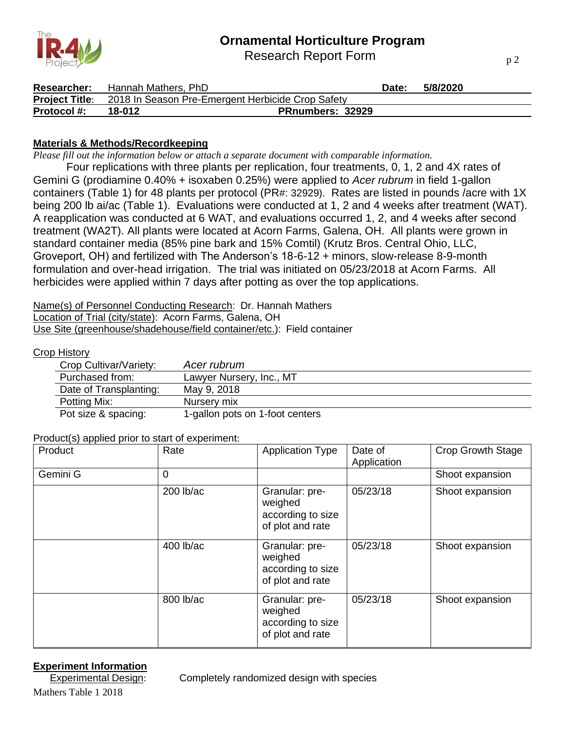Research Report Form



| Researcher:        | Hannah Mathers, PhD |                                                                         | Date: | 5/8/2020 |  |
|--------------------|---------------------|-------------------------------------------------------------------------|-------|----------|--|
|                    |                     | <b>Project Title:</b> 2018 In Season Pre-Emergent Herbicide Crop Safety |       |          |  |
| <b>Protocol</b> #: | 18-012              | <b>PRnumbers: 32929</b>                                                 |       |          |  |

## **Materials & Methods/Recordkeeping**

*Please fill out the information below or attach a separate document with comparable information.*

Four replications with three plants per replication, four treatments, 0, 1, 2 and 4X rates of Gemini G (prodiamine 0.40% + isoxaben 0.25%) were applied to *Acer rubrum* in field 1-gallon containers (Table 1) for 48 plants per protocol (PR#: 32929). Rates are listed in pounds /acre with 1X being 200 lb ai/ac (Table 1). Evaluations were conducted at 1, 2 and 4 weeks after treatment (WAT). A reapplication was conducted at 6 WAT, and evaluations occurred 1, 2, and 4 weeks after second treatment (WA2T). All plants were located at Acorn Farms, Galena, OH. All plants were grown in standard container media (85% pine bark and 15% Comtil) (Krutz Bros. Central Ohio, LLC, Groveport, OH) and fertilized with The Anderson's 18-6-12 + minors, slow-release 8-9-month formulation and over-head irrigation. The trial was initiated on 05/23/2018 at Acorn Farms. All herbicides were applied within 7 days after potting as over the top applications.

Name(s) of Personnel Conducting Research: Dr. Hannah Mathers Location of Trial (city/state): Acorn Farms, Galena, OH Use Site (greenhouse/shadehouse/field container/etc.): Field container

#### Crop History

| Crop Cultivar/Variety: | Acer rubrum                     |
|------------------------|---------------------------------|
| Purchased from:        | Lawyer Nursery, Inc., MT        |
| Date of Transplanting: | May 9, 2018                     |
| Potting Mix:           | Nursery mix                     |
| Pot size & spacing:    | 1-gallon pots on 1-foot centers |

Product(s) applied prior to start of experiment:

| Product  | Rate        | <b>Application Type</b>                                            | Date of<br>Application | <b>Crop Growth Stage</b> |
|----------|-------------|--------------------------------------------------------------------|------------------------|--------------------------|
| Gemini G | 0           |                                                                    |                        | Shoot expansion          |
|          | $200$ lb/ac | Granular: pre-<br>weighed<br>according to size<br>of plot and rate | 05/23/18               | Shoot expansion          |
|          | 400 lb/ac   | Granular: pre-<br>weighed<br>according to size<br>of plot and rate | 05/23/18               | Shoot expansion          |
|          | 800 lb/ac   | Granular: pre-<br>weighed<br>according to size<br>of plot and rate | 05/23/18               | Shoot expansion          |

#### **Experiment Information**

Experimental Design: Completely randomized design with species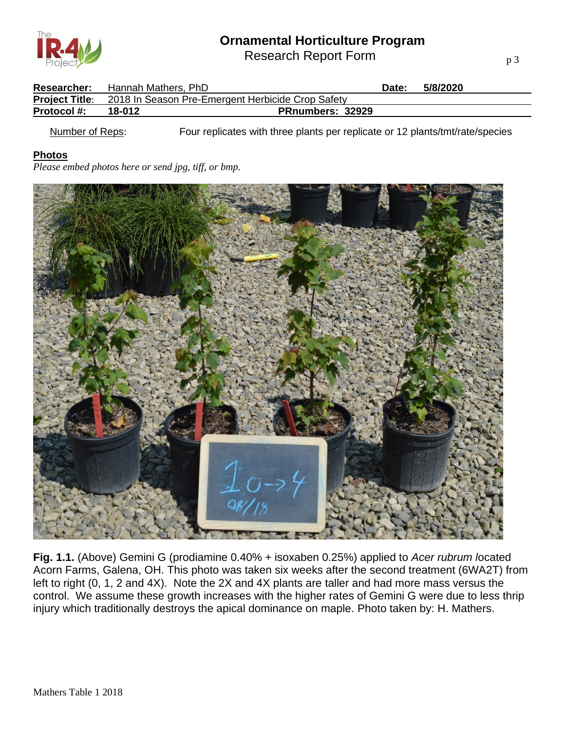Research Report Form

| <b>Researcher:</b> | Hannah Mathers, PhD                                              |                         | Date: | 5/8/2020 |
|--------------------|------------------------------------------------------------------|-------------------------|-------|----------|
|                    | Project Title: 2018 In Season Pre-Emergent Herbicide Crop Safety |                         |       |          |
| <b>Protocol #:</b> | 18-012                                                           | <b>PRnumbers: 32929</b> |       |          |
|                    |                                                                  |                         |       |          |

Number of Reps: Four replicates with three plants per replicate or 12 plants/tmt/rate/species

## **Photos**

*Please embed photos here or send jpg, tiff, or bmp.*



**Fig. 1.1.** (Above) Gemini G (prodiamine 0.40% + isoxaben 0.25%) applied to *Acer rubrum l*ocated Acorn Farms, Galena, OH. This photo was taken six weeks after the second treatment (6WA2T) from left to right (0, 1, 2 and 4X). Note the 2X and 4X plants are taller and had more mass versus the control. We assume these growth increases with the higher rates of Gemini G were due to less thrip injury which traditionally destroys the apical dominance on maple. Photo taken by: H. Mathers.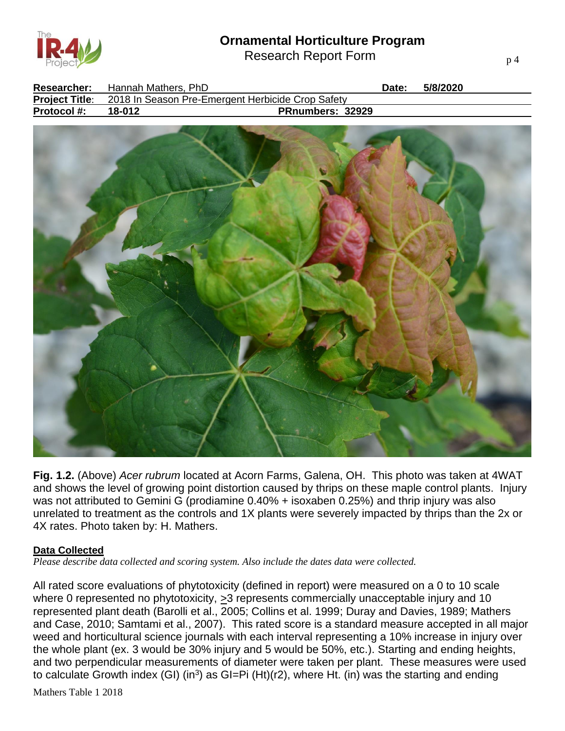Research Report Form



| <b>Researcher:</b> | Hannah Mathers. PhD |                                                                         | Date: | 5/8/2020 |  |
|--------------------|---------------------|-------------------------------------------------------------------------|-------|----------|--|
|                    |                     | <b>Project Title:</b> 2018 In Season Pre-Emergent Herbicide Crop Safety |       |          |  |
| <b>Protocol #:</b> | 18-012              | <b>PRnumbers: 32929</b>                                                 |       |          |  |



**Fig. 1.2.** (Above) *Acer rubrum* located at Acorn Farms, Galena, OH. This photo was taken at 4WAT and shows the level of growing point distortion caused by thrips on these maple control plants. Injury was not attributed to Gemini G (prodiamine 0.40% + isoxaben 0.25%) and thrip injury was also unrelated to treatment as the controls and 1X plants were severely impacted by thrips than the 2x or 4X rates. Photo taken by: H. Mathers.

#### **Data Collected**

*Please describe data collected and scoring system. Also include the dates data were collected.*

All rated score evaluations of phytotoxicity (defined in report) were measured on a 0 to 10 scale where 0 represented no phytotoxicity,  $\geq$ 3 represents commercially unacceptable injury and 10 represented plant death (Barolli et al., 2005; Collins et al. 1999; Duray and Davies, 1989; Mathers and Case, 2010; Samtami et al., 2007). This rated score is a standard measure accepted in all major weed and horticultural science journals with each interval representing a 10% increase in injury over the whole plant (ex. 3 would be 30% injury and 5 would be 50%, etc.). Starting and ending heights, and two perpendicular measurements of diameter were taken per plant. These measures were used to calculate Growth index (GI) (in<sup>3</sup>) as GI=Pi (Ht)(r2), where Ht. (in) was the starting and ending

Mathers Table 1 2018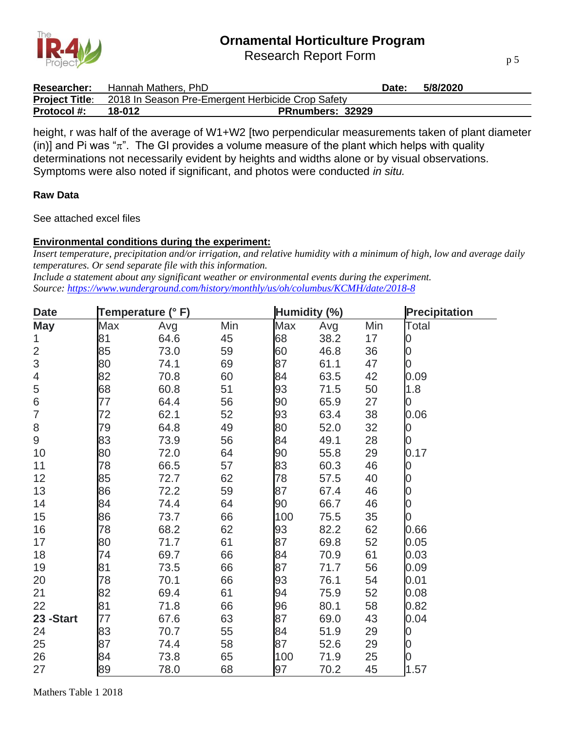

Research Report Form

| <b>Researcher:</b> | Hannah Mathers, PhD                                                     | Date:                   | 5/8/2020 |
|--------------------|-------------------------------------------------------------------------|-------------------------|----------|
|                    | <b>Project Title:</b> 2018 In Season Pre-Emergent Herbicide Crop Safety |                         |          |
| <b>Protocol #:</b> | 18-012                                                                  | <b>PRnumbers: 32929</b> |          |

height, r was half of the average of W1+W2 [two perpendicular measurements taken of plant diameter (in)] and Pi was " $\pi$ ". The GI provides a volume measure of the plant which helps with quality determinations not necessarily evident by heights and widths alone or by visual observations. Symptoms were also noted if significant, and photos were conducted *in situ.*

#### **Raw Data**

See attached excel files

## **Environmental conditions during the experiment:**

*Insert temperature, precipitation and/or irrigation, and relative humidity with a minimum of high, low and average daily temperatures. Or send separate file with this information.*

*Include a statement about any significant weather or environmental events during the experiment. Source:<https://www.wunderground.com/history/monthly/us/oh/columbus/KCMH/date/2018-8>*

| <b>Date</b>              | Temperature (° F) |      |     | Humidity (%) |      | <b>Precipitation</b> |                |
|--------------------------|-------------------|------|-----|--------------|------|----------------------|----------------|
| <b>May</b>               | Max               | Avg  | Min | Max          | Avg  | Min                  | Total          |
| $\mathbf{1}$             | 81                | 64.6 | 45  | 68           | 38.2 | 17                   | 0              |
| $\overline{2}$           | 85                | 73.0 | 59  | 60           | 46.8 | 36                   | $\overline{0}$ |
| 3                        | 80                | 74.1 | 69  | 87           | 61.1 | 47                   | $\overline{0}$ |
| $\overline{\mathcal{A}}$ | 82                | 70.8 | 60  | 84           | 63.5 | 42                   | 0.09           |
| 5                        | 68                | 60.8 | 51  | 93           | 71.5 | 50                   | 1.8            |
| $\,$ 6 $\,$              | 77                | 64.4 | 56  | 90           | 65.9 | 27                   | 0              |
| $\overline{7}$           | 72                | 62.1 | 52  | 93           | 63.4 | 38                   | 0.06           |
| 8                        | 79                | 64.8 | 49  | 80           | 52.0 | 32                   | 0              |
| 9                        | 83                | 73.9 | 56  | 84           | 49.1 | 28                   | $\overline{0}$ |
| 10                       | 80                | 72.0 | 64  | 90           | 55.8 | 29                   | 0.17           |
| 11                       | 78                | 66.5 | 57  | 83           | 60.3 | 46                   | $\overline{0}$ |
| 12                       | 85                | 72.7 | 62  | 78           | 57.5 | 40                   | $\overline{0}$ |
| 13                       | 86                | 72.2 | 59  | 87           | 67.4 | 46                   | $\overline{0}$ |
| 14                       | 84                | 74.4 | 64  | 90           | 66.7 | 46                   | $\overline{0}$ |
| 15                       | 86                | 73.7 | 66  | 100          | 75.5 | 35                   | 0              |
| 16                       | 78                | 68.2 | 62  | 93           | 82.2 | 62                   | 0.66           |
| 17                       | 80                | 71.7 | 61  | 87           | 69.8 | 52                   | 0.05           |
| 18                       | 74                | 69.7 | 66  | 84           | 70.9 | 61                   | 0.03           |
| 19                       | 81                | 73.5 | 66  | 87           | 71.7 | 56                   | 0.09           |
| 20                       | 78                | 70.1 | 66  | 93           | 76.1 | 54                   | 0.01           |
| 21                       | 82                | 69.4 | 61  | 94           | 75.9 | 52                   | 0.08           |
| 22                       | 81                | 71.8 | 66  | 96           | 80.1 | 58                   | 0.82           |
| 23 - Start               | 77                | 67.6 | 63  | 87           | 69.0 | 43                   | 0.04           |
| 24                       | 83                | 70.7 | 55  | 84           | 51.9 | 29                   | 0              |
| 25                       | 87                | 74.4 | 58  | 87           | 52.6 | 29                   | $\overline{0}$ |
| 26                       | 84                | 73.8 | 65  | 100          | 71.9 | 25                   | 0              |
| 27                       | 89                | 78.0 | 68  | 97           | 70.2 | 45                   | 1.57           |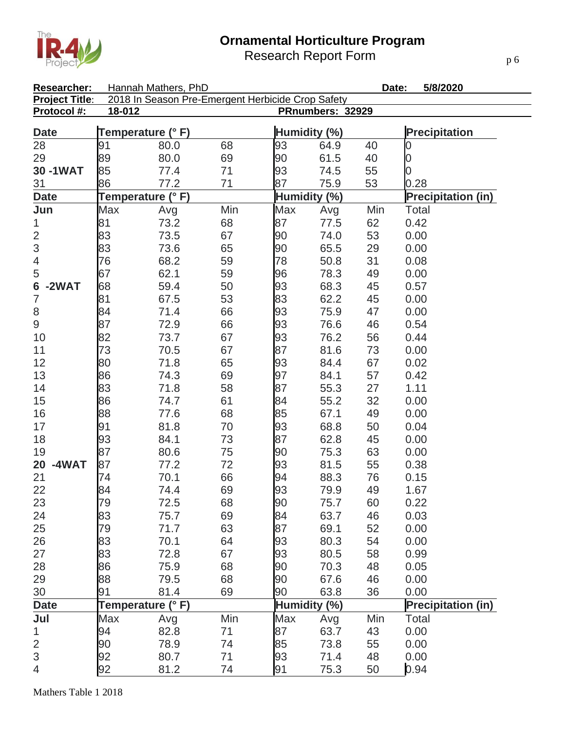Research Report Form

| Researcher:              |                   | Hannah Mathers, PhD                               |     |              |                  | Date: | 5/8/2020                  |
|--------------------------|-------------------|---------------------------------------------------|-----|--------------|------------------|-------|---------------------------|
| <b>Project Title:</b>    |                   | 2018 In Season Pre-Emergent Herbicide Crop Safety |     |              |                  |       |                           |
| Protocol #:              | 18-012            |                                                   |     |              | PRnumbers: 32929 |       |                           |
| <b>Date</b>              | Temperature (°F)  |                                                   |     | Humidity (%) |                  |       | <b>Precipitation</b>      |
| 28                       | 91                | 80.0                                              | 68  | 93           | 64.9             | 40    | 0                         |
| 29                       | 89                | 80.0                                              | 69  | 90           | 61.5             | 40    | 0                         |
| 30-1WAT                  | 85                | 77.4                                              | 71  | 93           | 74.5             | 55    | 0                         |
| 31                       | 86                | 77.2                                              | 71  | 87           | 75.9             | 53    | 0.28                      |
| <b>Date</b>              | Temperature (°F)  |                                                   |     | Humidity (%) |                  |       | <b>Precipitation (in)</b> |
| Jun                      | <b>Max</b>        | Avg                                               | Min | Max          | Avg              | Min   | Total                     |
| 1                        | 81                | 73.2                                              | 68  | 87           | 77.5             | 62    | 0.42                      |
| $\overline{2}$           | 83                | 73.5                                              | 67  | 90           | 74.0             | 53    | 0.00                      |
| 3                        | 83                | 73.6                                              | 65  | 90           | 65.5             | 29    | 0.00                      |
| $\overline{\mathcal{A}}$ | 76                | 68.2                                              | 59  | 78           | 50.8             | 31    | 0.08                      |
| 5                        | 67                | 62.1                                              | 59  | 96           | 78.3             | 49    | 0.00                      |
| $-2WAT$<br>6             | 68                | 59.4                                              | 50  | 93           | 68.3             | 45    | 0.57                      |
| 7                        | 81                | 67.5                                              | 53  | 83           | 62.2             | 45    | 0.00                      |
| $\,8\,$                  | 84                | 71.4                                              | 66  | 93           | 75.9             | 47    | 0.00                      |
| $\hbox{9}$               | 87                | 72.9                                              | 66  | 93           | 76.6             | 46    | 0.54                      |
| 10                       | 82                | 73.7                                              | 67  | 93           | 76.2             | 56    | 0.44                      |
| 11                       | 73                | 70.5                                              | 67  | 87           | 81.6             | 73    | 0.00                      |
| 12                       | 80                | 71.8                                              | 65  | 93           | 84.4             | 67    | 0.02                      |
| 13                       | 86                | 74.3                                              | 69  | 97           | 84.1             | 57    | 0.42                      |
| 14                       | 83                | 71.8                                              | 58  | 87           | 55.3             | 27    | 1.11                      |
| 15                       | 86                | 74.7                                              | 61  | 84           | 55.2             | 32    | 0.00                      |
| 16                       | 88                | 77.6                                              | 68  | 85           | 67.1             | 49    | 0.00                      |
| 17                       | 91                | 81.8                                              | 70  | 93           | 68.8             | 50    | 0.04                      |
| 18                       | 93                | 84.1                                              | 73  | 87           | 62.8             | 45    | 0.00                      |
| 19                       | 87                | 80.6                                              | 75  | 90           | 75.3             | 63    | 0.00                      |
| -4WAT<br>20              | 87                | 77.2                                              | 72  | 93           | 81.5             | 55    | 0.38                      |
| 21                       | 74                | 70.1                                              | 66  | 94           | 88.3             | 76    | 0.15                      |
| 22                       | 84                | 74.4                                              | 69  | 93           | 79.9             | 49    | 1.67                      |
| 23                       | 79                | 72.5                                              | 68  | 90           | 75.7             | 60    | 0.22                      |
| 24                       | 83                | 75.7                                              | 69  | 84           | 63.7             | 46    | 0.03                      |
| 25                       | 79                | 71.7                                              | 63  | 87           | 69.1             | 52    | 0.00                      |
| 26                       | 83                | 70.1                                              | 64  | 93           | 80.3             | 54    | 0.00                      |
| 27                       | 83                | 72.8                                              | 67  | 93           | 80.5             | 58    | 0.99                      |
| 28                       | 86                | 75.9                                              | 68  | 90           | 70.3             | 48    | 0.05                      |
| 29                       | 88                | 79.5                                              | 68  | 90           | 67.6             | 46    | 0.00                      |
| 30                       | 91                | 81.4                                              | 69  | 90           | 63.8             | 36    | 0.00                      |
| <b>Date</b>              | Temperature (° F) |                                                   |     | Humidity (%) |                  |       | <b>Precipitation (in)</b> |
| Jul                      | Max               | Avg                                               | Min | Max          | Avg              | Min   | Total                     |
| 1                        | 94                | 82.8                                              | 71  | 87           | 63.7             | 43    | 0.00                      |
| $\overline{c}$           | 90                | 78.9                                              | 74  | 85           | 73.8             | 55    | 0.00                      |
| $\mathfrak{S}$           | 92                | 80.7                                              | 71  | 93           | 71.4             | 48    | 0.00                      |
| $\overline{4}$           | 92                | 81.2                                              | 74  | 91           | 75.3             | 50    | 0.94                      |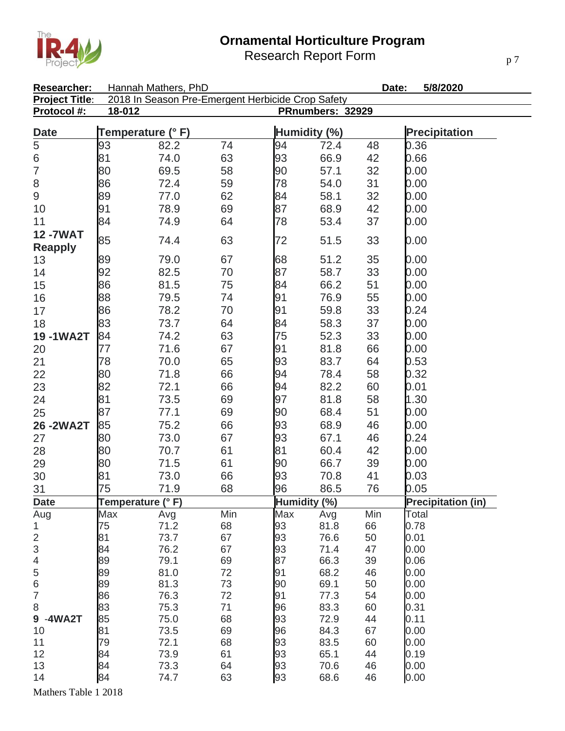Research Report Form



| Researcher:           | Hannah Mathers, PhD<br>Date:<br>5/8/2020          |                            |          |              |              |          |                           |  |  |
|-----------------------|---------------------------------------------------|----------------------------|----------|--------------|--------------|----------|---------------------------|--|--|
| <b>Project Title:</b> | 2018 In Season Pre-Emergent Herbicide Crop Safety |                            |          |              |              |          |                           |  |  |
| Protocol #:           |                                                   | 18-012<br>PRnumbers: 32929 |          |              |              |          |                           |  |  |
| <b>Date</b>           | Temperature (° F)                                 |                            |          | Humidity (%) |              |          | <b>Precipitation</b>      |  |  |
| $\overline{5}$        | 93                                                | 82.2                       | 74       | 94           | 72.4         | 48       | 0.36                      |  |  |
| $\overline{6}$        | 81                                                | 74.0                       | 63       | 93           | 66.9         | 42       | 0.66                      |  |  |
| $\overline{7}$        | 80                                                | 69.5                       | 58       | 90           | 57.1         | 32       | 0.00                      |  |  |
| 8                     | 86                                                | 72.4                       | 59       | 78           | 54.0         | 31       | 0.00                      |  |  |
| $\hbox{9}$            | 89                                                | 77.0                       | 62       | 84           | 58.1         | 32       | 0.00                      |  |  |
| 10                    | 91                                                | 78.9                       | 69       | 87           | 68.9         | 42       | 0.00                      |  |  |
| 11                    | 84                                                | 74.9                       | 64       | 78           | 53.4         | 37       | 0.00                      |  |  |
| <b>12-7WAT</b>        |                                                   |                            |          |              |              |          |                           |  |  |
| <b>Reapply</b>        | 85                                                | 74.4                       | 63       | 72           | 51.5         | 33       | 0.00                      |  |  |
| 13                    | 89                                                | 79.0                       | 67       | 68           | 51.2         | 35       | 0.00                      |  |  |
| 14                    | 92                                                | 82.5                       | 70       | 87           | 58.7         | 33       | 0.00                      |  |  |
| 15                    | 86                                                | 81.5                       | 75       | 84           | 66.2         | 51       | 0.00                      |  |  |
| 16                    | 88                                                | 79.5                       | 74       | 91           | 76.9         | 55       | 0.00                      |  |  |
| 17                    | 86                                                | 78.2                       | 70       | 91           | 59.8         | 33       | 0.24                      |  |  |
| 18                    | 83                                                | 73.7                       | 64       | 84           | 58.3         | 37       | 0.00                      |  |  |
| 19-1WA2T              | 84                                                | 74.2                       | 63       | 75           | 52.3         | 33       | 0.00                      |  |  |
| 20                    | 77                                                | 71.6                       | 67       | 91           | 81.8         | 66       | 0.00                      |  |  |
| 21                    | 78                                                | 70.0                       | 65       | 93           | 83.7         | 64       | 0.53                      |  |  |
| 22                    | 80                                                | 71.8                       | 66       | 94           | 78.4         | 58       | 0.32                      |  |  |
|                       | 82                                                | 72.1                       | 66       | 94           | 82.2         | 60       | 0.01                      |  |  |
| 23                    | 81                                                | 73.5                       | 69       | 97           | 81.8         | 58       | 1.30                      |  |  |
| 24                    | 87                                                | 77.1                       | 69       | 90           | 68.4         | 51       | 0.00                      |  |  |
| 25                    |                                                   |                            |          |              |              |          |                           |  |  |
| 26-2WA2T              | 85                                                | 75.2                       | 66       | 93           | 68.9         | 46       | 0.00                      |  |  |
| 27                    | 80                                                | 73.0                       | 67       | 93           | 67.1         | 46       | 0.24                      |  |  |
| 28                    | 80                                                | 70.7                       | 61       | 81           | 60.4         | 42       | 0.00                      |  |  |
| 29                    | 80                                                | 71.5                       | 61       | 90           | 66.7         | 39       | 0.00                      |  |  |
| 30                    | 81                                                | 73.0                       | 66       | 93           | 70.8         | 41       | 0.03                      |  |  |
| 31                    | 75                                                | 71.9                       | 68       | 96           | 86.5         | 76       | 0.05                      |  |  |
| <b>Date</b>           | Temperature (°F)                                  |                            |          | Humidity (%) |              |          | <b>Precipitation (in)</b> |  |  |
| Aug                   | Max                                               | Avg                        | Min      | Max          | Avg          | Min      | Total                     |  |  |
| 1                     | 75<br>81                                          | 71.2                       | 68       | 93           | 81.8         | 66<br>50 | 0.78<br>0.01              |  |  |
| $\mathbf 2$<br>3      | 84                                                | 73.7<br>76.2               | 67<br>67 | 93<br>93     | 76.6<br>71.4 | 47       | 0.00                      |  |  |
| $\overline{4}$        | 89                                                | 79.1                       | 69       | 87           | 66.3         | 39       | 0.06                      |  |  |
| 5                     | 89                                                | 81.0                       | 72       | 91           | 68.2         | 46       | 0.00                      |  |  |
| $\,$ 6 $\,$           | 89                                                | 81.3                       | 73       | 90           | 69.1         | 50       | 0.00                      |  |  |
| $\overline{7}$        | 86                                                | 76.3                       | 72       | 91           | 77.3         | 54       | 0.00                      |  |  |
| 8                     | 83                                                | 75.3                       | 71       | 96           | 83.3         | 60       | 0.31                      |  |  |
| 9 -4WA2T              | 85                                                | 75.0                       | 68       | 93           | 72.9         | 44       | 0.11                      |  |  |
| 10                    | 81                                                | 73.5                       | 69       | 96           | 84.3         | 67       | 0.00                      |  |  |
| 11                    | 79                                                | 72.1                       | 68       | 93           | 83.5         | 60       | 0.00                      |  |  |
| 12                    | 84                                                | 73.9                       | 61       | 93           | 65.1         | 44       | 0.19                      |  |  |
| 13                    | 84                                                | 73.3                       | 64       | 93           | 70.6         | 46       | 0.00                      |  |  |
| 14                    | 84                                                | 74.7                       | 63       | 93           | 68.6         | 46       | 0.00                      |  |  |

Mathers Table 1 2018